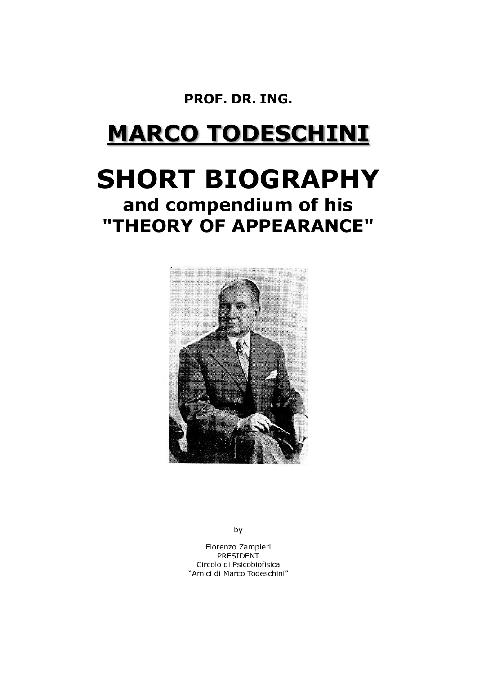**PROF. DR. ING.**

# **MARCO TODESCHINI**

## **SHORT BIOGRAPHY and compendium of his "THEORY OF APPEARANCE"**



by

Fiorenzo Zampieri **PRESIDENT** Circolo di Psicobiofisica "Amici di Marco Todeschini"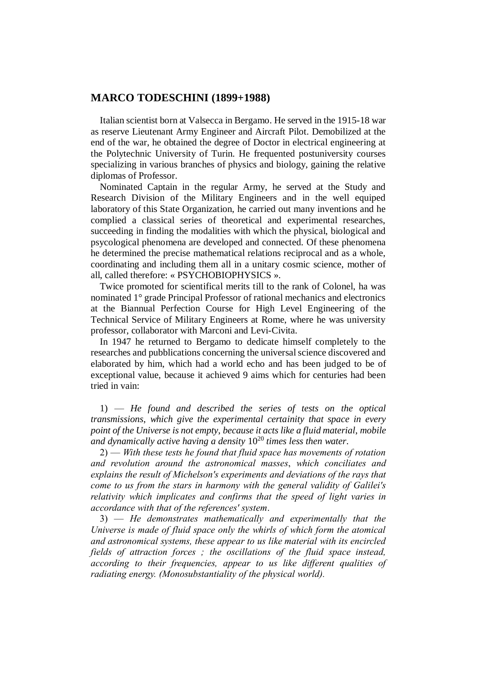### **MARCO TODESCHINI (1899+1988)**

Italian scientist born at Valsecca in Bergamo. He served in the 1915-18 war as reserve Lieutenant Army Engineer and Aircraft Pilot. Demobilized at the end of the war, he obtained the degree of Doctor in electrical engineering at the Polytechnic University of Turin. He frequented postuniversity courses specializing in various branches of physics and biology, gaining the relative diplomas of Professor.

Nominated Captain in the regular Army, he served at the Study and Research Division of the Military Engineers and in the well equiped laboratory of this State Organization, he carried out many inventions and he complied a classical series of theoretical and experimental researches, succeeding in finding the modalities with which the physical, biological and psycological phenomena are developed and connected. Of these phenomena he determined the precise mathematical relations reciprocal and as a whole, coordinating and including them all in a unitary cosmic science, mother of all, called therefore: « PSYCHOBIOPHYSICS ».

Twice promoted for scientifical merits till to the rank of Colonel, ha was nominated 1° grade Principal Professor of rational mechanics and electronics at the Biannual Perfection Course for High Level Engineering of the Technical Service of Military Engineers at Rome, where he was university professor, collaborator with Marconi and Levi-Civita.

In 1947 he returned to Bergamo to dedicate himself completely to the researches and pubblications concerning the universal science discovered and elaborated by him, which had a world echo and has been judged to be of exceptional value, because it achieved 9 aims which for centuries had been tried in vain:

1) — *He found and described the series of tests on the optical transmissions*, *which give the experimental certainity that space in every point of the Universe is not empty*, *because it acts like a fluid material*, *mobile and dynamically active having a density* 10<sup>20</sup> *times less then water*.

2) — *With these tests he found that fluid space has movements of rotation and revolution around the astronomical masses*, *which conciliates and explains the result of Michelson's experiments and deviations of the rays that come to us from the stars in harmony with the general validity of Galilei's relativity which implicates and confirms that the speed of light varies in accordance with that of the references' system*.

3) — *He demonstrates mathematically and experimentally that the Universe is made of fluid space only the whirls of which form the atomical and astronomical systems, these appear to us like material with its encircled fields of attraction forces ; the oscillations of the fluid space instead, according to their frequencies, appear to us like different qualities of radiating energy. (Monosubstantiality of the physical world).*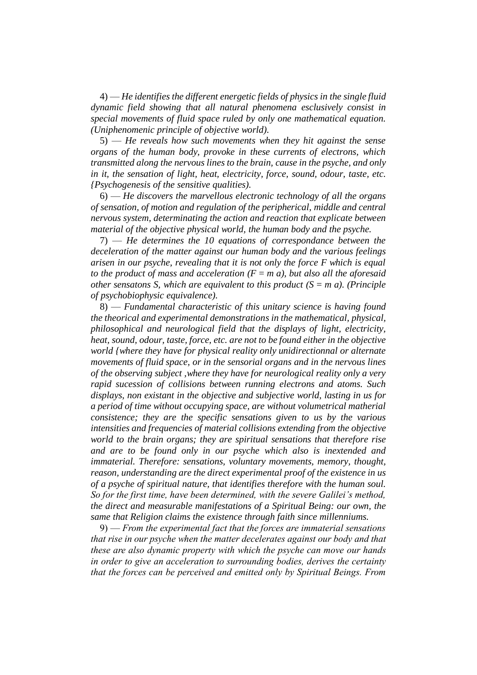4) — *He identifies the different energetic fields of physics in the single fluid dynamic field showing that all natural phenomena esclusively consist in special movements of fluid space ruled by only one mathematical equation. (Uniphenomenic principle of objective world).*

5) — *He reveals how such movements when they hit against the sense organs of the human body, provoke in these currents of electrons, which transmitted along the nervous lines to the brain, cause in the psyche, and only in it, the sensation of light, heat, electricity, force, sound, odour, taste, etc. {Psychogenesis of the sensitive qualities).*

6) — *He discovers the marvellous electronic technology of all the organs of sensation, of motion and regulation of the peripherical, middle and central nervous system, determinating the action and reaction that explicate between material of the objective physical world, the human body and the psyche.*

7) — *He determines the 10 equations of correspondance between the deceleration of the matter against our human body and the various feelings arisen in our psyche, revealing that it is not only the force F which is equal to the product of mass and acceleration*  $(F = m a)$ , but also all the aforesaid *other sensatons S, which are equivalent to this product*  $(S = m \, a)$ *. (Principle of psychobiophysic equivalence).*

8) — *Fundamental characteristic of this unitary science is having found the theorical and experimental demonstrations in the mathematical, physical, philosophical and neurological field that the displays of light, electricity, heat, sound, odour, taste, force, etc. are not to be found either in the objective world {where they have for physical reality only unidirectionnal or alternate movements of fluid space, or in the sensorial organs and in the nervous lines of the observing subject ,where they have for neurological reality only a very rapid sucession of collisions between running electrons and atoms. Such displays, non existant in the objective and subjective world, lasting in us for a period of time without occupying space, are without volumetrical matherial consistence; they are the specific sensations given to us by the various intensities and frequencies of material collisions extending from the objective world to the brain organs; they are spiritual sensations that therefore rise and are to be found only in our psyche which also is inextended and immaterial. Therefore: sensations, voluntary movements, memory, thought, reason, understanding are the direct experimental proof of the existence in us of a psyche of spiritual nature, that identifies therefore with the human soul. So for the first time, have been determined, with the severe Galilei's method, the direct and measurable manifestations of a Spiritual Being: our own, the same that Religion claims the existence through faith since millenniums.*

9) — *From the experimental fact that the forces are immaterial sensations that rise in our psyche when the matter decelerates against our body and that these are also dynamic property with which the psyche can move our hands in order to give an acceleration to surrounding bodies, derives the certainty that the forces can be perceived and emitted only by Spiritual Beings. From*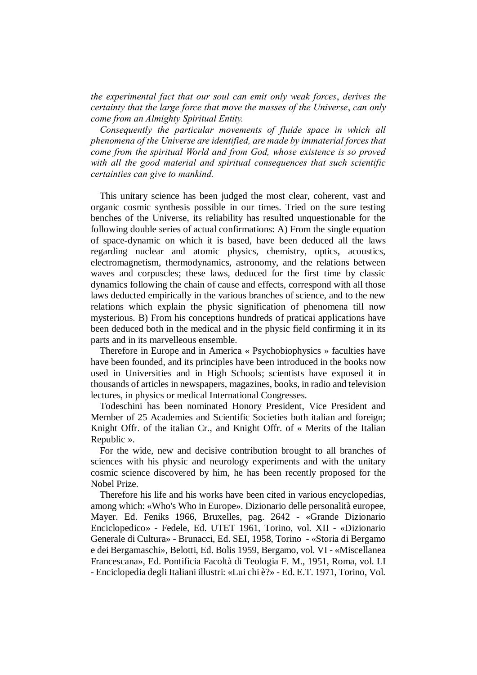*the experimental fact that our soul can emit only weak forces*, *derives the certainty that the large force that move the masses of the Universe*, *can only come from an Almighty Spiritual Entity.*

*Consequently the particular movements of fluide space in which all phenomena of the Universe are identified, are made by immaterial forces that come from the spiritual World and from God, whose existence is so proved with all the good material and spiritual consequences that such scientific certainties can give to mankind.*

This unitary science has been judged the most clear, coherent, vast and organic cosmic synthesis possible in our times. Tried on the sure testing benches of the Universe, its reliability has resulted unquestionable for the following double series of actual confirmations: A) From the single equation of space-dynamic on which it is based, have been deduced all the laws regarding nuclear and atomic physics, chemistry, optics, acoustics, electromagnetism, thermodynamics, astronomy, and the relations between waves and corpuscles; these laws, deduced for the first time by classic dynamics following the chain of cause and effects, correspond with all those laws deducted empirically in the various branches of science, and to the new relations which explain the physic signification of phenomena till now mysterious. B) From his conceptions hundreds of praticai applications have been deduced both in the medical and in the physic field confirming it in its parts and in its marvelleous ensemble.

Therefore in Europe and in America « Psychobiophysics » faculties have have been founded, and its principles have been introduced in the books now used in Universities and in High Schools; scientists have exposed it in thousands of articles in newspapers, magazines, books, in radio and television lectures, in physics or medical International Congresses.

Todeschini has been nominated Honory President, Vice President and Member of 25 Academies and Scientific Societies both italian and foreign; Knight Offr. of the italian Cr., and Knight Offr. of « Merits of the Italian Republic ».

For the wide, new and decisive contribution brought to all branches of sciences with his physic and neurology experiments and with the unitary cosmic science discovered by him, he has been recently proposed for the Nobel Prize.

Therefore his life and his works have been cited in various encyclopedias, among which: «Who's Who in Europe». Dizionario delle personalità europee, Mayer. Ed. Feniks 1966, Bruxelles, pag. 2642 - «Grande Dizionario Enciclopedico» - Fedele, Ed. UTET 1961, Torino, vol. XII - «Dizionario Generale di Cultura» - Brunacci, Ed. SEI, 1958, Torino - «Storia di Bergamo e dei Bergamaschi», Belotti, Ed. Bolis 1959, Bergamo, vol. VI - «Miscellanea Francescana», Ed. Pontificia Facoltà di Teologia F. M., 1951, Roma, vol. LI - Enciclopedia degli Italiani illustri: «Lui chi è?» - Ed. E.T. 1971, Torino, Vol.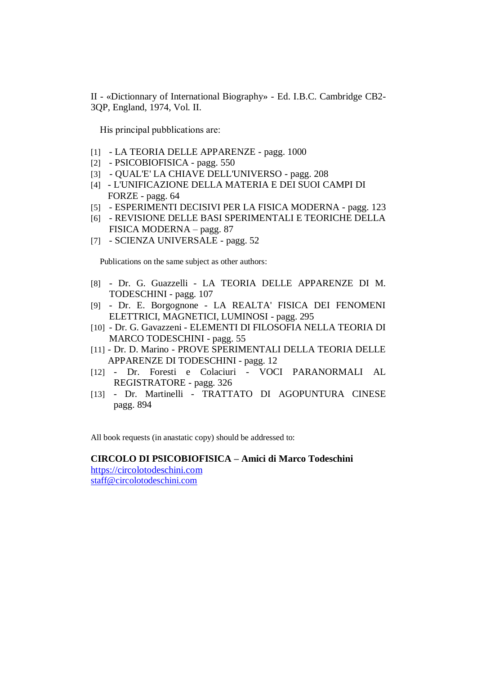II - «Dictionnary of International Biography» - Ed. I.B.C. Cambridge CB2- 3QP, England, 1974, Vol. II.

His principal pubblications are:

- [1] LA TEORIA DELLE APPARENZE pagg. 1000
- [2] PSICOBIOFISICA pagg. 550
- [3] QUAL'E' LA CHIAVE DELL'UNIVERSO pagg. 208
- [4] L'UNIFICAZIONE DELLA MATERIA E DEI SUOI CAMPI DI FORZE - pagg. 64
- [5] ESPERIMENTI DECISIVI PER LA FISICA MODERNA pagg. 123
- [6] REVISIONE DELLE BASI SPERIMENTALI E TEORICHE DELLA FISICA MODERNA – pagg. 87
- [7] SCIENZA UNIVERSALE pagg. 52

Publications on the same subject as other authors:

- [8] Dr. G. Guazzelli LA TEORIA DELLE APPARENZE DI M. TODESCHINI - pagg. 107
- [9] Dr. E. Borgognone LA REALTA' FISICA DEI FENOMENI ELETTRICI, MAGNETICI, LUMINOSI - pagg. 295
- [10] Dr. G. Gavazzeni ELEMENTI DI FILOSOFIA NELLA TEORIA DI MARCO TODESCHINI - pagg. 55
- [11] Dr. D. Marino PROVE SPERIMENTALI DELLA TEORIA DELLE APPARENZE DI TODESCHINI - pagg. 12
- [12] Dr. Foresti e Colaciuri VOCI PARANORMALI AL REGISTRATORE - pagg. 326
- [13] Dr. Martinelli TRATTATO DI AGOPUNTURA CINESE pagg. 894

All book requests (in anastatic copy) should be addressed to:

#### **CIRCOLO DI PSICOBIOFISICA – Amici di Marco Todeschini**

[https://circolotodeschini.com](https://circolotodeschini.com/) [staff@circolotodeschini.com](mailto:staff@circolotodeschini.com)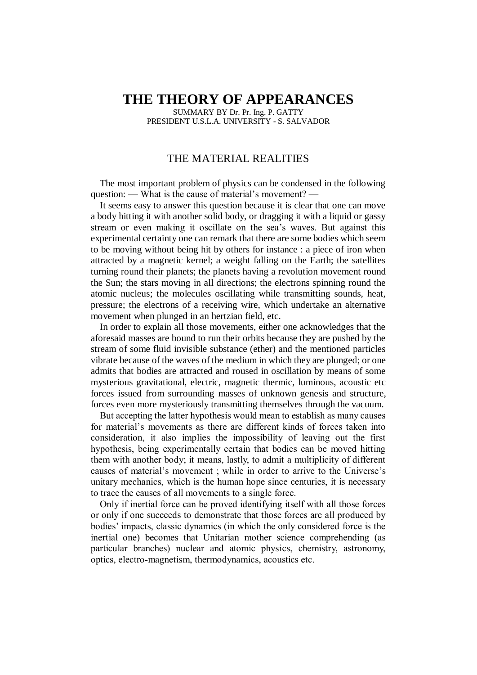## **THE THEORY OF APPEARANCES**

SUMMARY BY Dr. Pr. Ing. P. GATTY PRESIDENT U.S.L.A. UNIVERSITY - S. SALVADOR

## THE MATERIAL REALITIES

The most important problem of physics can be condensed in the following question: — What is the cause of material's movement? —

It seems easy to answer this question because it is clear that one can move a body hitting it with another solid body, or dragging it with a liquid or gassy stream or even making it oscillate on the sea's waves. But against this experimental certainty one can remark that there are some bodies which seem to be moving without being hit by others for instance : a piece of iron when attracted by a magnetic kernel; a weight falling on the Earth; the satellites turning round their planets; the planets having a revolution movement round the Sun; the stars moving in all directions; the electrons spinning round the atomic nucleus; the molecules oscillating while transmitting sounds, heat, pressure; the electrons of a receiving wire, which undertake an alternative movement when plunged in an hertzian field, etc.

In order to explain all those movements, either one acknowledges that the aforesaid masses are bound to run their orbits because they are pushed by the stream of some fluid invisible substance (ether) and the mentioned particles vibrate because of the waves of the medium in which they are plunged; or one admits that bodies are attracted and roused in oscillation by means of some mysterious gravitational, electric, magnetic thermic, luminous, acoustic etc forces issued from surrounding masses of unknown genesis and structure, forces even more mysteriously transmitting themselves through the vacuum.

But accepting the latter hypothesis would mean to establish as many causes for material's movements as there are different kinds of forces taken into consideration, it also implies the impossibility of leaving out the first hypothesis, being experimentally certain that bodies can be moved hitting them with another body; it means, lastly, to admit a multiplicity of different causes of material's movement ; while in order to arrive to the Universe's unitary mechanics, which is the human hope since centuries, it is necessary to trace the causes of all movements to a single force.

Only if inertial force can be proved identifying itself with all those forces or only if one succeeds to demonstrate that those forces are all produced by bodies' impacts, classic dynamics (in which the only considered force is the inertial one) becomes that Unitarian mother science comprehending (as particular branches) nuclear and atomic physics, chemistry, astronomy, optics, electro-magnetism, thermodynamics, acoustics etc.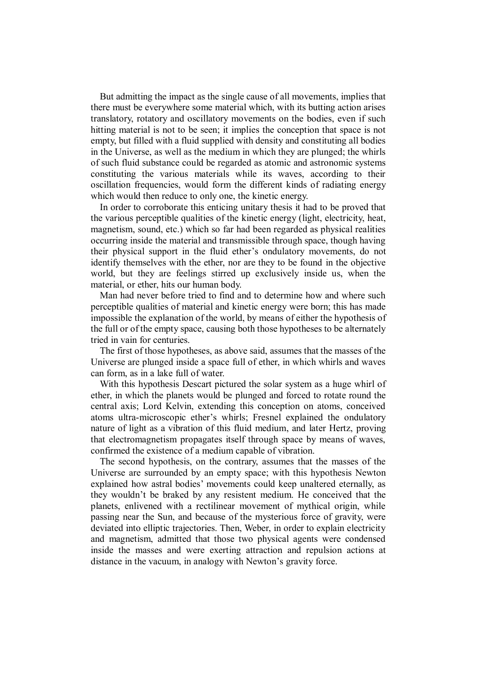But admitting the impact as the single cause of all movements, implies that there must be everywhere some material which, with its butting action arises translatory, rotatory and oscillatory movements on the bodies, even if such hitting material is not to be seen; it implies the conception that space is not empty, but filled with a fluid supplied with density and constituting all bodies in the Universe, as well as the medium in which they are plunged; the whirls of such fluid substance could be regarded as atomic and astronomic systems constituting the various materials while its waves, according to their oscillation frequencies, would form the different kinds of radiating energy which would then reduce to only one, the kinetic energy.

In order to corroborate this enticing unitary thesis it had to be proved that the various perceptible qualities of the kinetic energy (light, electricity, heat, magnetism, sound, etc.) which so far had been regarded as physical realities occurring inside the material and transmissible through space, though having their physical support in the fluid ether's ondulatory movements, do not identify themselves with the ether, nor are they to be found in the objective world, but they are feelings stirred up exclusively inside us, when the material, or ether, hits our human body.

Man had never before tried to find and to determine how and where such perceptible qualities of material and kinetic energy were born; this has made impossible the explanation of the world, by means of either the hypothesis of the full or of the empty space, causing both those hypotheses to be alternately tried in vain for centuries.

The first of those hypotheses, as above said, assumes that the masses of the Universe are plunged inside a space full of ether, in which whirls and waves can form, as in a lake full of water.

With this hypothesis Descart pictured the solar system as a huge whirl of ether, in which the planets would be plunged and forced to rotate round the central axis; Lord Kelvin, extending this conception on atoms, conceived atoms ultra-microscopic ether's whirls; Fresnel explained the ondulatory nature of light as a vibration of this fluid medium, and later Hertz, proving that electromagnetism propagates itself through space by means of waves, confirmed the existence of a medium capable of vibration.

The second hypothesis, on the contrary, assumes that the masses of the Universe are surrounded by an empty space; with this hypothesis Newton explained how astral bodies' movements could keep unaltered eternally, as they wouldn't be braked by any resistent medium. He conceived that the planets, enlivened with a rectilinear movement of mythical origin, while passing near the Sun, and because of the mysterious force of gravity, were deviated into elliptic trajectories. Then, Weber, in order to explain electricity and magnetism, admitted that those two physical agents were condensed inside the masses and were exerting attraction and repulsion actions at distance in the vacuum, in analogy with Newton's gravity force.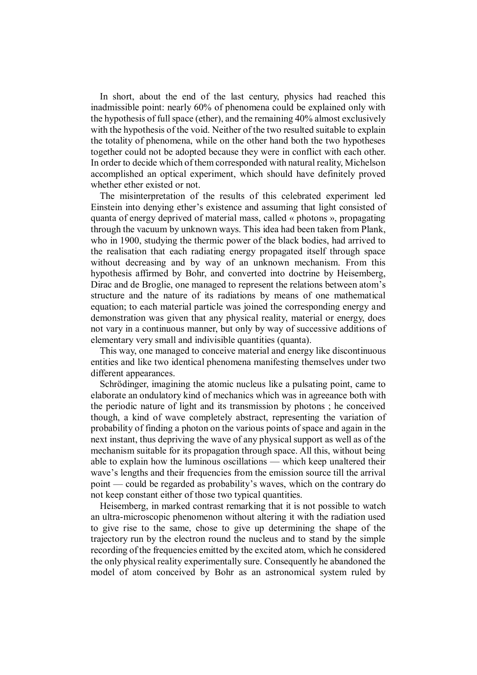In short, about the end of the last century, physics had reached this inadmissible point: nearly 60% of phenomena could be explained only with the hypothesis of full space (ether), and the remaining 40% almost exclusively with the hypothesis of the void. Neither of the two resulted suitable to explain the totality of phenomena, while on the other hand both the two hypotheses together could not be adopted because they were in conflict with each other. In order to decide which of them corresponded with natural reality, Michelson accomplished an optical experiment, which should have definitely proved whether ether existed or not.

The misinterpretation of the results of this celebrated experiment led Einstein into denying ether's existence and assuming that light consisted of quanta of energy deprived of material mass, called « photons », propagating through the vacuum by unknown ways. This idea had been taken from Plank, who in 1900, studying the thermic power of the black bodies, had arrived to the realisation that each radiating energy propagated itself through space without decreasing and by way of an unknown mechanism. From this hypothesis affirmed by Bohr, and converted into doctrine by Heisemberg, Dirac and de Broglie, one managed to represent the relations between atom's structure and the nature of its radiations by means of one mathematical equation; to each material particle was joined the corresponding energy and demonstration was given that any physical reality, material or energy, does not vary in a continuous manner, but only by way of successive additions of elementary very small and indivisible quantities (quanta).

This way, one managed to conceive material and energy like discontinuous entities and like two identical phenomena manifesting themselves under two different appearances.

Schrödinger, imagining the atomic nucleus like a pulsating point, came to elaborate an ondulatory kind of mechanics which was in agreeance both with the periodic nature of light and its transmission by photons ; he conceived though, a kind of wave completely abstract, representing the variation of probability of finding a photon on the various points of space and again in the next instant, thus depriving the wave of any physical support as well as of the mechanism suitable for its propagation through space. All this, without being able to explain how the luminous oscillations — which keep unaltered their wave's lengths and their frequencies from the emission source till the arrival point — could be regarded as probability's waves, which on the contrary do not keep constant either of those two typical quantities.

Heisemberg, in marked contrast remarking that it is not possible to watch an ultra-microscopic phenomenon without altering it with the radiation used to give rise to the same, chose to give up determining the shape of the trajectory run by the electron round the nucleus and to stand by the simple recording of the frequencies emitted by the excited atom, which he considered the only physical reality experimentally sure. Consequently he abandoned the model of atom conceived by Bohr as an astronomical system ruled by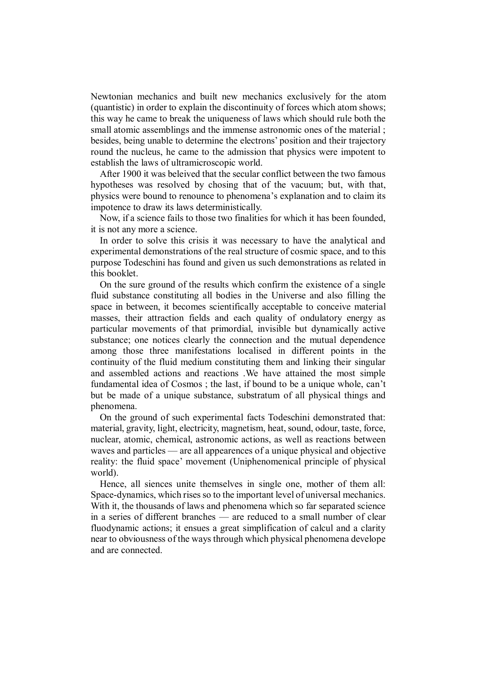Newtonian mechanics and built new mechanics exclusively for the atom (quantistic) in order to explain the discontinuity of forces which atom shows; this way he came to break the uniqueness of laws which should rule both the small atomic assemblings and the immense astronomic ones of the material ; besides, being unable to determine the electrons' position and their trajectory round the nucleus, he came to the admission that physics were impotent to establish the laws of ultramicroscopic world.

After 1900 it was beleived that the secular conflict between the two famous hypotheses was resolved by chosing that of the vacuum; but, with that, physics were bound to renounce to phenomena's explanation and to claim its impotence to draw its laws deterministically.

Now, if a science fails to those two finalities for which it has been founded, it is not any more a science.

In order to solve this crisis it was necessary to have the analytical and experimental demonstrations of the real structure of cosmic space, and to this purpose Todeschini has found and given us such demonstrations as related in this booklet.

On the sure ground of the results which confirm the existence of a single fluid substance constituting all bodies in the Universe and also filling the space in between, it becomes scientifically acceptable to conceive material masses, their attraction fields and each quality of ondulatory energy as particular movements of that primordial, invisible but dynamically active substance; one notices clearly the connection and the mutual dependence among those three manifestations localised in different points in the continuity of the fluid medium constituting them and linking their singular and assembled actions and reactions .We have attained the most simple fundamental idea of Cosmos ; the last, if bound to be a unique whole, can't but be made of a unique substance, substratum of all physical things and phenomena.

On the ground of such experimental facts Todeschini demonstrated that: material, gravity, light, electricity, magnetism, heat, sound, odour, taste, force, nuclear, atomic, chemical, astronomic actions, as well as reactions between waves and particles — are all appearences of a unique physical and objective reality: the fluid space' movement (Uniphenomenical principle of physical world).

Hence, all siences unite themselves in single one, mother of them all: Space-dynamics, which rises so to the important level of universal mechanics. With it, the thousands of laws and phenomena which so far separated science in a series of different branches — are reduced to a small number of clear fluodynamic actions; it ensues a great simplification of calcul and a clarity near to obviousness of the ways through which physical phenomena develope and are connected.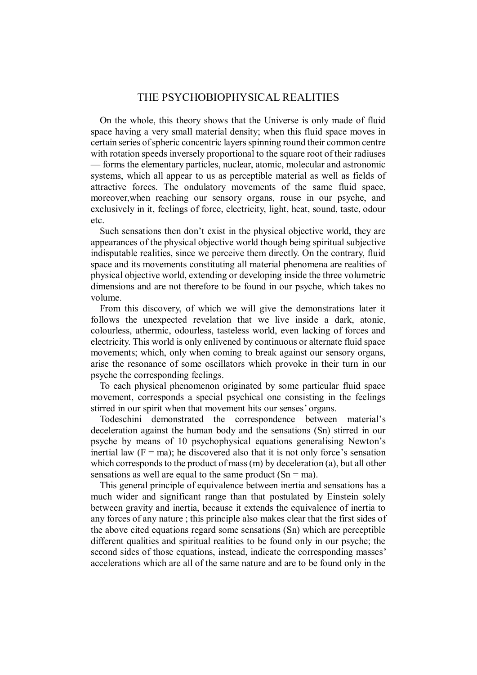### THE PSYCHOBIOPHYSICAL REALITIES

On the whole, this theory shows that the Universe is only made of fluid space having a very small material density; when this fluid space moves in certain series of spheric concentric layers spinning round their common centre with rotation speeds inversely proportional to the square root of their radiuses — forms the elementary particles, nuclear, atomic, molecular and astronomic systems, which all appear to us as perceptible material as well as fields of attractive forces. The ondulatory movements of the same fluid space, moreover,when reaching our sensory organs, rouse in our psyche, and exclusively in it, feelings of force, electricity, light, heat, sound, taste, odour etc.

Such sensations then don't exist in the physical objective world, they are appearances of the physical objective world though being spiritual subjective indisputable realities, since we perceive them directly. On the contrary, fluid space and its movements constituting all material phenomena are realities of physical objective world, extending or developing inside the three volumetric dimensions and are not therefore to be found in our psyche, which takes no volume.

From this discovery, of which we will give the demonstrations later it follows the unexpected revelation that we live inside a dark, atonic, colourless, athermic, odourless, tasteless world, even lacking of forces and electricity. This world is only enlivened by continuous or alternate fluid space movements; which, only when coming to break against our sensory organs, arise the resonance of some oscillators which provoke in their turn in our psyche the corresponding feelings.

To each physical phenomenon originated by some particular fluid space movement, corresponds a special psychical one consisting in the feelings stirred in our spirit when that movement hits our senses' organs.

Todeschini demonstrated the correspondence between material's deceleration against the human body and the sensations (Sn) stirred in our psyche by means of 10 psychophysical equations generalising Newton's inertial law  $(F = ma)$ ; he discovered also that it is not only force's sensation which corresponds to the product of mass (m) by deceleration (a), but all other sensations as well are equal to the same product  $(Sn = ma)$ .

This general principle of equivalence between inertia and sensations has a much wider and significant range than that postulated by Einstein solely between gravity and inertia, because it extends the equivalence of inertia to any forces of any nature ; this principle also makes clear that the first sides of the above cited equations regard some sensations (Sn) which are perceptible different qualities and spiritual realities to be found only in our psyche; the second sides of those equations, instead, indicate the corresponding masses' accelerations which are all of the same nature and are to be found only in the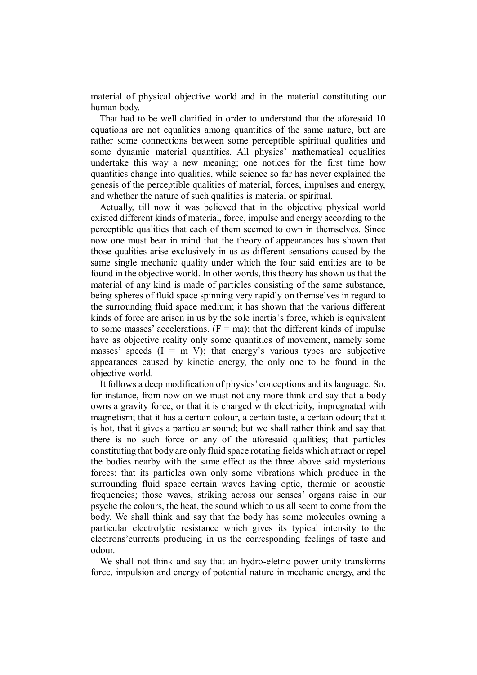material of physical objective world and in the material constituting our human body.

That had to be well clarified in order to understand that the aforesaid 10 equations are not equalities among quantities of the same nature, but are rather some connections between some perceptible spiritual qualities and some dynamic material quantities. All physics' mathematical equalities undertake this way a new meaning; one notices for the first time how quantities change into qualities, while science so far has never explained the genesis of the perceptible qualities of material, forces, impulses and energy, and whether the nature of such qualities is material or spiritual.

Actually, till now it was believed that in the objective physical world existed different kinds of material, force, impulse and energy according to the perceptible qualities that each of them seemed to own in themselves. Since now one must bear in mind that the theory of appearances has shown that those qualities arise exclusively in us as different sensations caused by the same single mechanic quality under which the four said entities are to be found in the objective world. In other words, this theory has shown us that the material of any kind is made of particles consisting of the same substance, being spheres of fluid space spinning very rapidly on themselves in regard to the surrounding fluid space medium; it has shown that the various different kinds of force are arisen in us by the sole inertia's force, which is equivalent to some masses' accelerations.  $(F = ma)$ ; that the different kinds of impulse have as objective reality only some quantities of movement, namely some masses' speeds  $(I = m V)$ ; that energy's various types are subjective appearances caused by kinetic energy, the only one to be found in the objective world.

It follows a deep modification of physics' conceptions and its language. So, for instance, from now on we must not any more think and say that a body owns a gravity force, or that it is charged with electricity, impregnated with magnetism; that it has a certain colour, a certain taste, a certain odour; that it is hot, that it gives a particular sound; but we shall rather think and say that there is no such force or any of the aforesaid qualities; that particles constituting that body are only fluid space rotating fields which attract or repel the bodies nearby with the same effect as the three above said mysterious forces; that its particles own only some vibrations which produce in the surrounding fluid space certain waves having optic, thermic or acoustic frequencies; those waves, striking across our senses' organs raise in our psyche the colours, the heat, the sound which to us all seem to come from the body. We shall think and say that the body has some molecules owning a particular electrolytic resistance which gives its typical intensity to the electrons'currents producing in us the corresponding feelings of taste and odour.

We shall not think and say that an hydro-eletric power unity transforms force, impulsion and energy of potential nature in mechanic energy, and the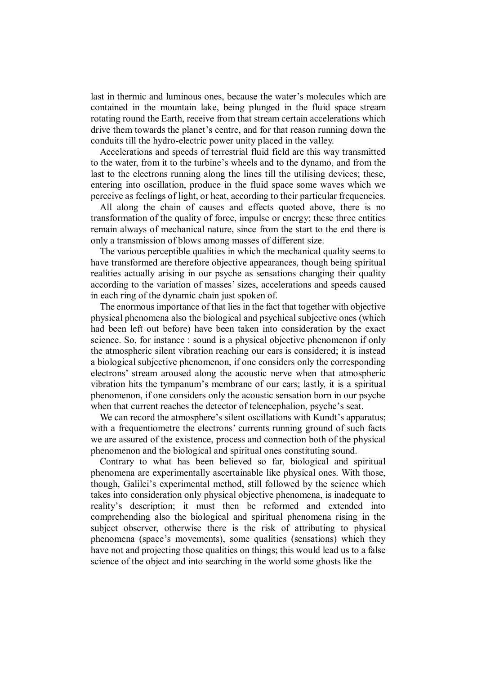last in thermic and luminous ones, because the water's molecules which are contained in the mountain lake, being plunged in the fluid space stream rotating round the Earth, receive from that stream certain accelerations which drive them towards the planet's centre, and for that reason running down the conduits till the hydro-electric power unity placed in the valley.

Accelerations and speeds of terrestrial fluid field are this way transmitted to the water, from it to the turbine's wheels and to the dynamo, and from the last to the electrons running along the lines till the utilising devices; these, entering into oscillation, produce in the fluid space some waves which we perceive as feelings of light, or heat, according to their particular frequencies.

All along the chain of causes and effects quoted above, there is no transformation of the quality of force, impulse or energy; these three entities remain always of mechanical nature, since from the start to the end there is only a transmission of blows among masses of different size.

The various perceptible qualities in which the mechanical quality seems to have transformed are therefore objective appearances, though being spiritual realities actually arising in our psyche as sensations changing their quality according to the variation of masses' sizes, accelerations and speeds caused in each ring of the dynamic chain just spoken of.

The enormous importance of that lies in the fact that together with objective physical phenomena also the biological and psychical subjective ones (which had been left out before) have been taken into consideration by the exact science. So, for instance : sound is a physical objective phenomenon if only the atmospheric silent vibration reaching our ears is considered; it is instead a biological subjective phenomenon, if one considers only the corresponding electrons' stream aroused along the acoustic nerve when that atmospheric vibration hits the tympanum's membrane of our ears; lastly, it is a spiritual phenomenon, if one considers only the acoustic sensation born in our psyche when that current reaches the detector of telencephalion, psyche's seat.

We can record the atmosphere's silent oscillations with Kundt's apparatus; with a frequentiometre the electrons' currents running ground of such facts we are assured of the existence, process and connection both of the physical phenomenon and the biological and spiritual ones constituting sound.

Contrary to what has been believed so far, biological and spiritual phenomena are experimentally ascertainable like physical ones. With those, though, Galilei's experimental method, still followed by the science which takes into consideration only physical objective phenomena, is inadequate to reality's description; it must then be reformed and extended into comprehending also the biological and spiritual phenomena rising in the subject observer, otherwise there is the risk of attributing to physical phenomena (space's movements), some qualities (sensations) which they have not and projecting those qualities on things; this would lead us to a false science of the object and into searching in the world some ghosts like the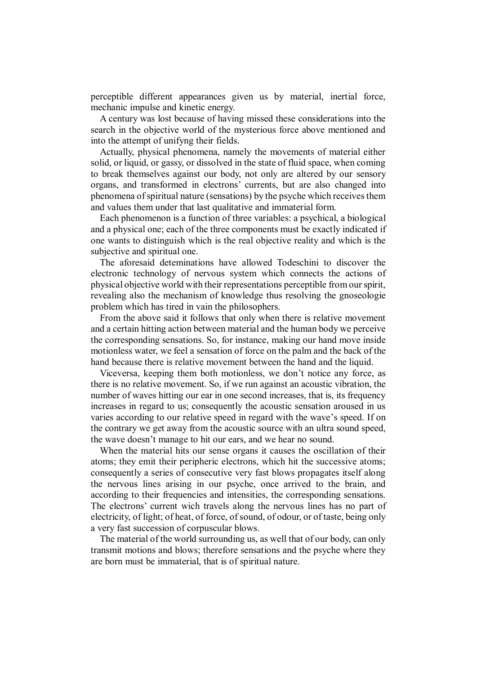perceptible different appearances given us by material, inertial force, mechanic impulse and kinetic energy.

A century was lost because of having missed these considerations into the search in the objective world of the mysterious force above mentioned and into the attempt of unifyng their fields.

Actually, physical phenomena, namely the movements of material either solid, or liquid, or gassy, or dissolved in the state of fluid space, when coming to break themselves against our body, not only are altered by our sensory organs, and transformed in electrons' currents, but are also changed into phenomena of spiritual nature (sensations) by the psyche which receives them and values them under that last qualitative and immaterial form.

Each phenomenon is a function of three variables: a psychical, a biological and a physical one; each of the three components must be exactly indicated if one wants to distinguish which is the real objective reality and which is the subjective and spiritual one.

The aforesaid deteminations have allowed Todeschini to discover the electronic technology of nervous system which connects the actions of physical objective world with their representations perceptible from our spirit, revealing also the mechanism of knowledge thus resolving the gnoseologie problem which has tired in vain the philosophers.

From the above said it follows that only when there is relative movement and a certain hitting action between material and the human body we perceive the corresponding sensations. So, for instance, making our hand move inside motionless water, we feel a sensation of force on the palm and the back of the hand because there is relative movement between the hand and the liquid.

Viceversa, keeping them both motionless, we don't notice any force, as there is no relative movement. So, if we run against an acoustic vibration, the number of waves hitting our ear in one second increases, that is, its frequency increases in regard to us; consequently the acoustic sensation aroused in us varies according to our relative speed in regard with the wave's speed. If on the contrary we get away from the acoustic source with an ultra sound speed, the wave doesn't manage to hit our ears, and we hear no sound.

When the material hits our sense organs it causes the oscillation of their atoms; they emit their peripheric electrons, which hit the successive atoms; consequently a series of consecutive very fast blows propagates itself along the nervous lines arising in our psyche, once arrived to the brain, and according to their frequencies and intensities, the corresponding sensations. The electrons' current wich travels along the nervous lines has no part of electricity, of light; of heat, of force, of sound, of odour, or of taste, being only a very fast succession of corpuscular blows.

The material of the world surrounding us, as well that of our body, can only transmit motions and blows; therefore sensations and the psyche where they are born must be immaterial, that is of spiritual nature.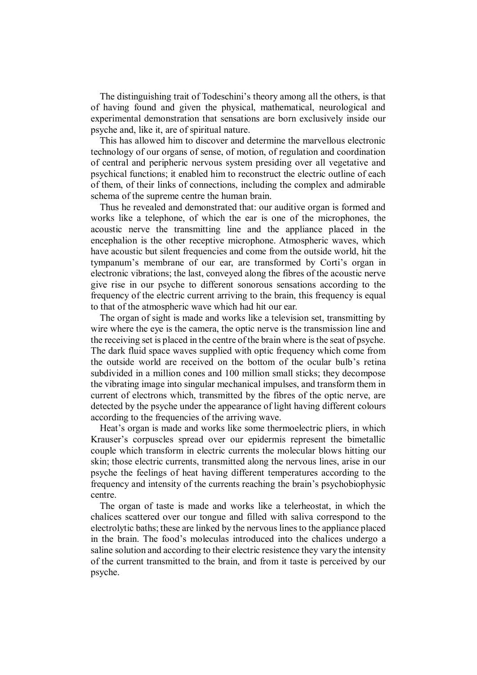The distinguishing trait of Todeschini's theory among all the others, is that of having found and given the physical, mathematical, neurological and experimental demonstration that sensations are born exclusively inside our psyche and, like it, are of spiritual nature.

This has allowed him to discover and determine the marvellous electronic technology of our organs of sense, of motion, of regulation and coordination of central and peripheric nervous system presiding over all vegetative and psychical functions; it enabled him to reconstruct the electric outline of each of them, of their links of connections, including the complex and admirable schema of the supreme centre the human brain.

Thus he revealed and demonstrated that: our auditive organ is formed and works like a telephone, of which the ear is one of the microphones, the acoustic nerve the transmitting line and the appliance placed in the encephalion is the other receptive microphone. Atmospheric waves, which have acoustic but silent frequencies and come from the outside world, hit the tympanum's membrane of our ear, are transformed by Corti's organ in electronic vibrations; the last, conveyed along the fibres of the acoustic nerve give rise in our psyche to different sonorous sensations according to the frequency of the electric current arriving to the brain, this frequency is equal to that of the atmospheric wave which had hit our ear.

The organ of sight is made and works like a television set, transmitting by wire where the eye is the camera, the optic nerve is the transmission line and the receiving set is placed in the centre of the brain where is the seat of psyche. The dark fluid space waves supplied with optic frequency which come from the outside world are received on the bottom of the ocular bulb's retina subdivided in a million cones and 100 million small sticks; they decompose the vibrating image into singular mechanical impulses, and transform them in current of electrons which, transmitted by the fibres of the optic nerve, are detected by the psyche under the appearance of light having different colours according to the frequencies of the arriving wave.

Heat's organ is made and works like some thermoelectric pliers, in which Krauser's corpuscles spread over our epidermis represent the bimetallic couple which transform in electric currents the molecular blows hitting our skin; those electric currents, transmitted along the nervous lines, arise in our psyche the feelings of heat having different temperatures according to the frequency and intensity of the currents reaching the brain's psychobiophysic centre.

The organ of taste is made and works like a telerheostat, in which the chalices scattered over our tongue and filled with saliva correspond to the electrolytic baths; these are linked by the nervous lines to the appliance placed in the brain. The food's moleculas introduced into the chalices undergo a saline solution and according to their electric resistence they vary the intensity of the current transmitted to the brain, and from it taste is perceived by our psyche.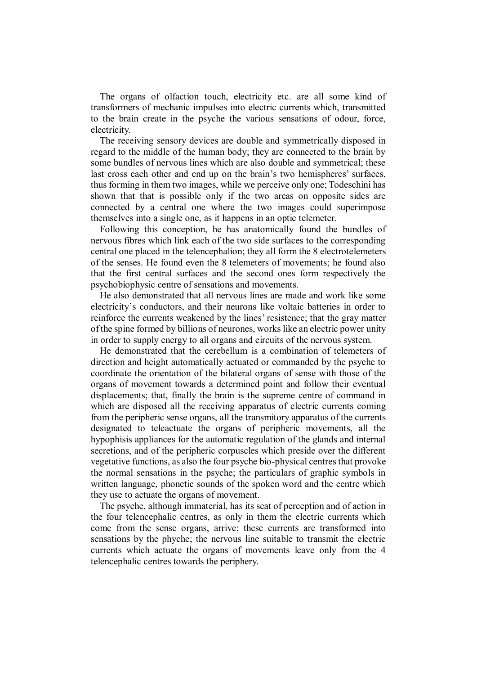The organs of olfaction touch, electricity etc. are all some kind of transformers of mechanic impulses into electric currents which, transmitted to the brain create in the psyche the various sensations of odour, force, electricity.

The receiving sensory devices are double and symmetrically disposed in regard to the middle of the human body; they are connected to the brain by some bundles of nervous lines which are also double and symmetrical; these last cross each other and end up on the brain's two hemispheres' surfaces, thus forming in them two images, while we perceive only one; Todeschini has shown that that is possible only if the two areas on opposite sides are connected by a central one where the two images could superimpose themselves into a single one, as it happens in an optic telemeter.

Following this conception, he has anatomically found the bundles of nervous fibres which link each of the two side surfaces to the corresponding central one placed in the telencephalion; they all form the 8 electrotelemeters of the senses. He found even the 8 telemeters of movements; he found also that the first central surfaces and the second ones form respectively the psychobiophysic centre of sensations and movements.

He also demonstrated that all nervous lines are made and work like some electricity's conductors, and their neurons like voltaic batteries in order to reinforce the currents weakened by the lines' resistence; that the gray matter of the spine formed by billions of neurones, works like an electric power unity in order to supply energy to all organs and circuits of the nervous system.

He demonstrated that the cerebellum is a combination of telemeters of direction and height automatically actuated or commanded by the psyche to coordinate the orientation of the bilateral organs of sense with those of the organs of movement towards a determined point and follow their eventual displacements; that, finally the brain is the supreme centre of command in which are disposed all the receiving apparatus of electric currents coming from the peripheric sense organs, all the transmitory apparatus of the currents designated to teleactuate the organs of peripheric movements, all the hypophisis appliances for the automatic regulation of the glands and internal secretions, and of the peripheric corpuscles which preside over the different vegetative functions, as also the four psyche bio-physical centres that provoke the normal sensations in the psyche; the particulars of graphic symbols in written language, phonetic sounds of the spoken word and the centre which they use to actuate the organs of movement.

The psyche, although immaterial, has its seat of perception and of action in the four telencephalic centres, as only in them the electric currents which come from the sense organs, arrive; these currents are transformed into sensations by the phyche; the nervous line suitable to transmit the electric currents which actuate the organs of movements leave only from the 4 telencephalic centres towards the periphery.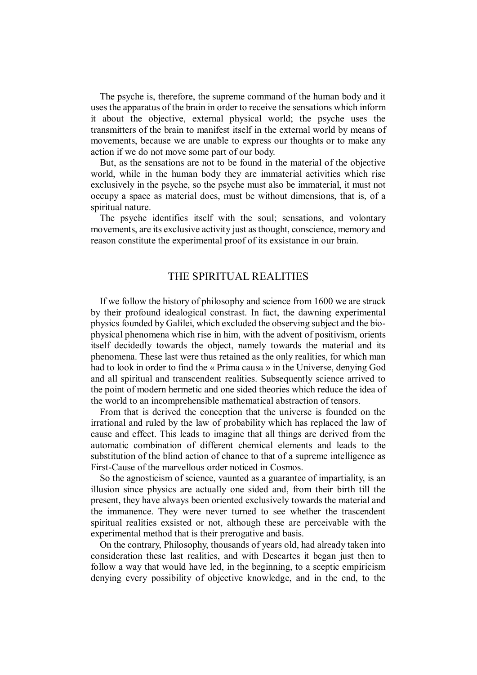The psyche is, therefore, the supreme command of the human body and it uses the apparatus of the brain in order to receive the sensations which inform it about the objective, external physical world; the psyche uses the transmitters of the brain to manifest itself in the external world by means of movements, because we are unable to express our thoughts or to make any action if we do not move some part of our body.

But, as the sensations are not to be found in the material of the objective world, while in the human body they are immaterial activities which rise exclusively in the psyche, so the psyche must also be immaterial, it must not occupy a space as material does, must be without dimensions, that is, of a spiritual nature.

The psyche identifies itself with the soul; sensations, and volontary movements, are its exclusive activity just as thought, conscience, memory and reason constitute the experimental proof of its exsistance in our brain.

## THE SPIRITUAL REALITIES

If we follow the history of philosophy and science from 1600 we are struck by their profound idealogical constrast. In fact, the dawning experimental physics founded by Galilei, which excluded the observing subject and the biophysical phenomena which rise in him, with the advent of positivism, orients itself decidedly towards the object, namely towards the material and its phenomena. These last were thus retained as the only realities, for which man had to look in order to find the « Prima causa » in the Universe, denying God and all spiritual and transcendent realities. Subsequently science arrived to the point of modern hermetic and one sided theories which reduce the idea of the world to an incomprehensible mathematical abstraction of tensors.

From that is derived the conception that the universe is founded on the irrational and ruled by the law of probability which has replaced the law of cause and effect. This leads to imagine that all things are derived from the automatic combination of different chemical elements and leads to the substitution of the blind action of chance to that of a supreme intelligence as First-Cause of the marvellous order noticed in Cosmos.

So the agnosticism of science, vaunted as a guarantee of impartiality, is an illusion since physics are actually one sided and, from their birth till the present, they have always been oriented exclusively towards the material and the immanence. They were never turned to see whether the trascendent spiritual realities exsisted or not, although these are perceivable with the experimental method that is their prerogative and basis.

On the contrary, Philosophy, thousands of years old, had already taken into consideration these last realities, and with Descartes it began just then to follow a way that would have led, in the beginning, to a sceptic empiricism denying every possibility of objective knowledge, and in the end, to the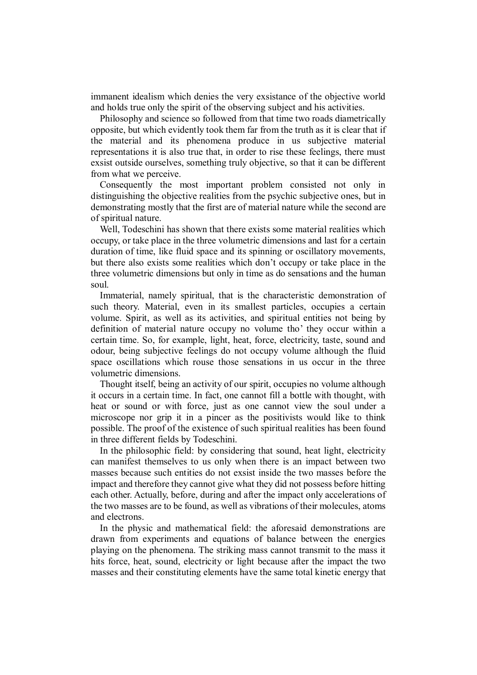immanent idealism which denies the very exsistance of the objective world and holds true only the spirit of the observing subject and his activities.

Philosophy and science so followed from that time two roads diametrically opposite, but which evidently took them far from the truth as it is clear that if the material and its phenomena produce in us subjective material representations it is also true that, in order to rise these feelings, there must exsist outside ourselves, something truly objective, so that it can be different from what we perceive.

Consequently the most important problem consisted not only in distinguishing the objective realities from the psychic subjective ones, but in demonstrating mostly that the first are of material nature while the second are of spiritual nature.

Well, Todeschini has shown that there exists some material realities which occupy, or take place in the three volumetric dimensions and last for a certain duration of time, like fluid space and its spinning or oscillatory movements, but there also exists some realities which don't occupy or take place in the three volumetric dimensions but only in time as do sensations and the human soul.

Immaterial, namely spiritual, that is the characteristic demonstration of such theory. Material, even in its smallest particles, occupies a certain volume. Spirit, as well as its activities, and spiritual entities not being by definition of material nature occupy no volume tho' they occur within a certain time. So, for example, light, heat, force, electricity, taste, sound and odour, being subjective feelings do not occupy volume although the fluid space oscillations which rouse those sensations in us occur in the three volumetric dimensions.

Thought itself, being an activity of our spirit, occupies no volume although it occurs in a certain time. In fact, one cannot fill a bottle with thought, with heat or sound or with force, just as one cannot view the soul under a microscope nor grip it in a pincer as the positivists would like to think possible. The proof of the existence of such spiritual realities has been found in three different fields by Todeschini.

In the philosophic field: by considering that sound, heat light, electricity can manifest themselves to us only when there is an impact between two masses because such entities do not exsist inside the two masses before the impact and therefore they cannot give what they did not possess before hitting each other. Actually, before, during and after the impact only accelerations of the two masses are to be found, as well as vibrations of their molecules, atoms and electrons.

In the physic and mathematical field: the aforesaid demonstrations are drawn from experiments and equations of balance between the energies playing on the phenomena. The striking mass cannot transmit to the mass it hits force, heat, sound, electricity or light because after the impact the two masses and their constituting elements have the same total kinetic energy that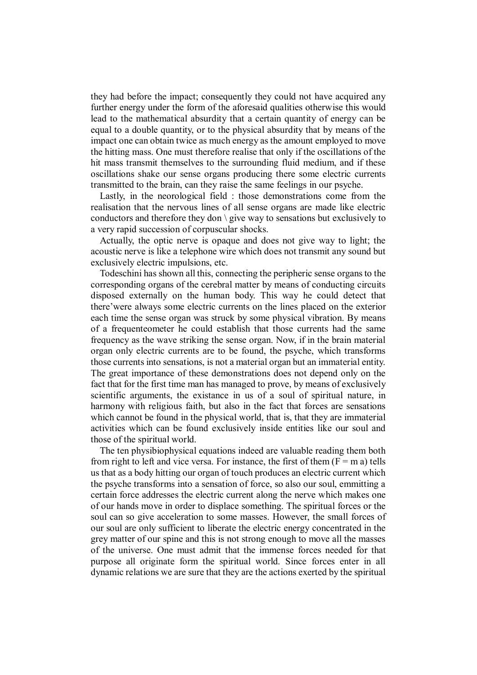they had before the impact; consequently they could not have acquired any further energy under the form of the aforesaid qualities otherwise this would lead to the mathematical absurdity that a certain quantity of energy can be equal to a double quantity, or to the physical absurdity that by means of the impact one can obtain twice as much energy as the amount employed to move the hitting mass. One must therefore realise that only if the oscillations of the hit mass transmit themselves to the surrounding fluid medium, and if these oscillations shake our sense organs producing there some electric currents transmitted to the brain, can they raise the same feelings in our psyche.

Lastly, in the neorological field : those demonstrations come from the realisation that the nervous lines of all sense organs are made like electric conductors and therefore they don  $\setminus$  give way to sensations but exclusively to a very rapid succession of corpuscular shocks.

Actually, the optic nerve is opaque and does not give way to light; the acoustic nerve is like a telephone wire which does not transmit any sound but exclusively electric impulsions, etc.

Todeschini has shown all this, connecting the peripheric sense organs to the corresponding organs of the cerebral matter by means of conducting circuits disposed externally on the human body. This way he could detect that there'were always some electric currents on the lines placed on the exterior each time the sense organ was struck by some physical vibration. By means of a frequenteometer he could establish that those currents had the same frequency as the wave striking the sense organ. Now, if in the brain material organ only electric currents are to be found, the psyche, which transforms those currents into sensations, is not a material organ but an immaterial entity. The great importance of these demonstrations does not depend only on the fact that for the first time man has managed to prove, by means of exclusively scientific arguments, the existance in us of a soul of spiritual nature, in harmony with religious faith, but also in the fact that forces are sensations which cannot be found in the physical world, that is, that they are immaterial activities which can be found exclusively inside entities like our soul and those of the spiritual world.

The ten physibiophysical equations indeed are valuable reading them both from right to left and vice versa. For instance, the first of them  $(F = m a)$  tells us that as a body hitting our organ of touch produces an electric current which the psyche transforms into a sensation of force, so also our soul, emmitting a certain force addresses the electric current along the nerve which makes one of our hands move in order to displace something. The spiritual forces or the soul can so give acceleration to some masses. However, the small forces of our soul are only sufficient to liberate the electric energy concentrated in the grey matter of our spine and this is not strong enough to move all the masses of the universe. One must admit that the immense forces needed for that purpose all originate form the spiritual world. Since forces enter in all dynamic relations we are sure that they are the actions exerted by the spiritual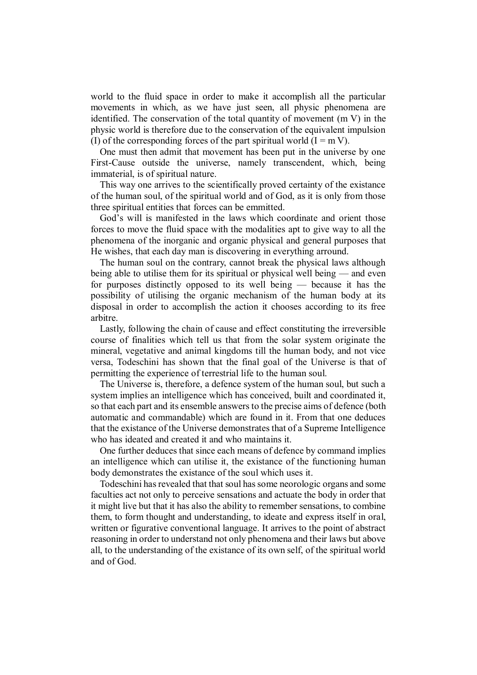world to the fluid space in order to make it accomplish all the particular movements in which, as we have just seen, all physic phenomena are identified. The conservation of the total quantity of movement (m V) in the physic world is therefore due to the conservation of the equivalent impulsion (I) of the corresponding forces of the part spiritual world  $(I = m V)$ .

One must then admit that movement has been put in the universe by one First-Cause outside the universe, namely transcendent, which, being immaterial, is of spiritual nature.

This way one arrives to the scientifically proved certainty of the existance of the human soul, of the spiritual world and of God, as it is only from those three spiritual entities that forces can be emmitted.

God's will is manifested in the laws which coordinate and orient those forces to move the fluid space with the modalities apt to give way to all the phenomena of the inorganic and organic physical and general purposes that He wishes, that each day man is discovering in everything arround.

The human soul on the contrary, cannot break the physical laws although being able to utilise them for its spiritual or physical well being — and even for purposes distinctly opposed to its well being — because it has the possibility of utilising the organic mechanism of the human body at its disposal in order to accomplish the action it chooses according to its free arbitre.

Lastly, following the chain of cause and effect constituting the irreversible course of finalities which tell us that from the solar system originate the mineral, vegetative and animal kingdoms till the human body, and not vice versa, Todeschini has shown that the final goal of the Universe is that of permitting the experience of terrestrial life to the human soul.

The Universe is, therefore, a defence system of the human soul, but such a system implies an intelligence which has conceived, built and coordinated it, so that each part and its ensemble answers to the precise aims of defence (both automatic and commandable) which are found in it. From that one deduces that the existance of the Universe demonstrates that of a Supreme Intelligence who has ideated and created it and who maintains it.

One further deduces that since each means of defence by command implies an intelligence which can utilise it, the existance of the functioning human body demonstrates the existance of the soul which uses it.

Todeschini has revealed that that soul has some neorologic organs and some faculties act not only to perceive sensations and actuate the body in order that it might live but that it has also the ability to remember sensations, to combine them, to form thought and understanding, to ideate and express itself in oral, written or figurative conventional language. It arrives to the point of abstract reasoning in order to understand not only phenomena and their laws but above all, to the understanding of the existance of its own self, of the spiritual world and of God.